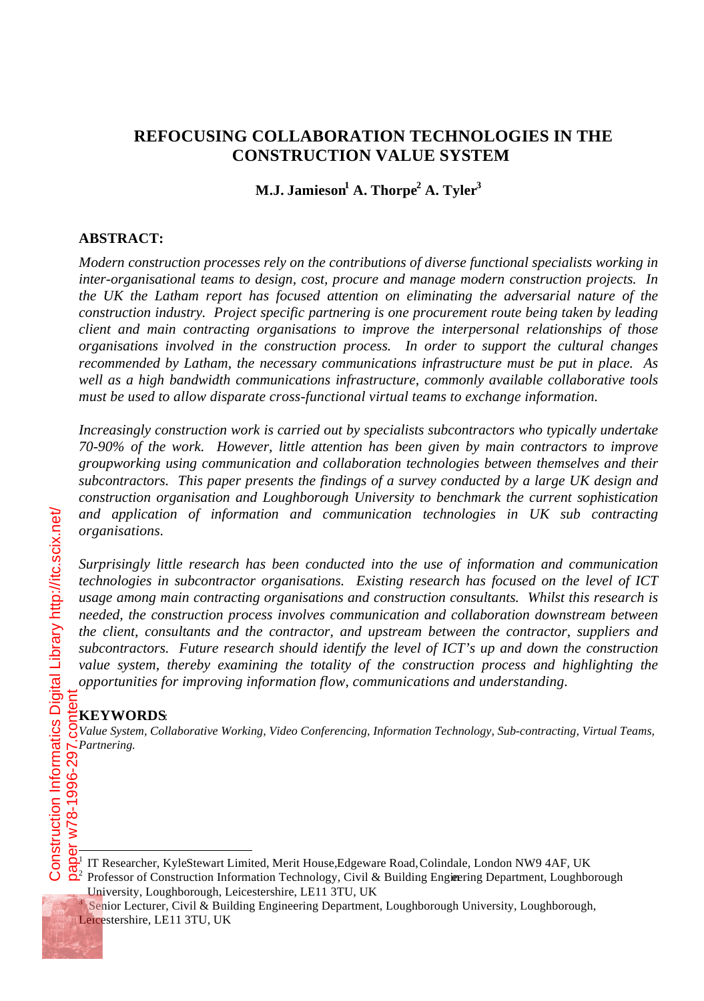# **REFOCUSING COLLABORATION TECHNOLOGIES IN THE CONSTRUCTION VALUE SYSTEM**

# **M.J. Jamieson<sup>1</sup> A. Thorpe<sup>2</sup> A. Tyler<sup>3</sup>**

#### **ABSTRACT:**

*Modern construction processes rely on the contributions of diverse functional specialists working in inter-organisational teams to design, cost, procure and manage modern construction projects. In the UK the Latham report has focused attention on eliminating the adversarial nature of the construction industry. Project specific partnering is one procurement route being taken by leading client and main contracting organisations to improve the interpersonal relationships of those organisations involved in the construction process. In order to support the cultural changes recommended by Latham, the necessary communications infrastructure must be put in place. As well as a high bandwidth communications infrastructure, commonly available collaborative tools must be used to allow disparate cross-functional virtual teams to exchange information.*

*Increasingly construction work is carried out by specialists subcontractors who typically undertake 70-90% of the work. However, little attention has been given by main contractors to improve groupworking using communication and collaboration technologies between themselves and their subcontractors. This paper presents the findings of a survey conducted by a large UK design and construction organisation and Loughborough University to benchmark the current sophistication and application of information and communication technologies in UK sub contracting organisations.*

*Surprisingly little research has been conducted into the use of information and communication technologies in subcontractor organisations. Existing research has focused on the level of ICT usage among main contracting organisations and construction consultants. Whilst this research is needed, the construction process involves communication and collaboration downstream between the client, consultants and the contractor, and upstream between the contractor, suppliers and subcontractors. Future research should identify the level of ICT's up and down the construction value system, thereby examining the totality of the construction process and highlighting the opportunities for improving information flow, communications and understanding.*

#### **KEYWORDS**:

*Value System, Collaborative Working, Video Conferencing, Information Technology, Sub-contracting, Virtual Teams, Partnering.*<br>
Partnering.<br> **Partnering.**<br> **Partner**<br> **Partner**<br> **Partner** 

3 Senior Lecturer, Civil & Building Engineering Department, Loughborough University, Loughborough, Leicestershire, LE11 3TU, UK

 $\frac{1}{1}$ IT Researcher, Kyle Stewart Limited, Merit House, Edgeware Road, Colindale, London NW9 4AF, UK

<sup>&</sup>lt;sup>2</sup> Professor of Construction Information Technology, Civil & Building Engineering Department, Loughborough University, Loughborough, Leicestershire, LE11 3TU, UK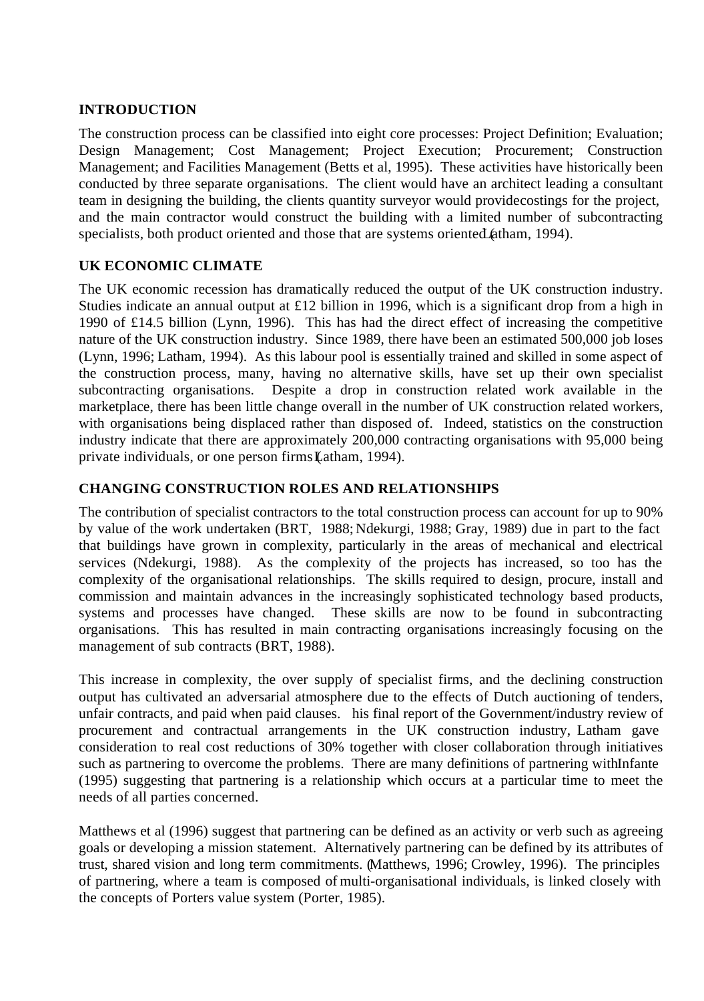#### **INTRODUCTION**

The construction process can be classified into eight core processes: Project Definition; Evaluation; Design Management; Cost Management; Project Execution; Procurement; Construction Management; and Facilities Management (Betts et al, 1995). These activities have historically been conducted by three separate organisations. The client would have an architect leading a consultant team in designing the building, the clients quantity surveyor would provide costings for the project, and the main contractor would construct the building with a limited number of subcontracting specialists, both product oriented and those that are systems oriented (atham, 1994).

# **UK ECONOMIC CLIMATE**

The UK economic recession has dramatically reduced the output of the UK construction industry. Studies indicate an annual output at £12 billion in 1996, which is a significant drop from a high in 1990 of £14.5 billion (Lynn, 1996). This has had the direct effect of increasing the competitive nature of the UK construction industry. Since 1989, there have been an estimated 500,000 job loses (Lynn, 1996; Latham, 1994). As this labour pool is essentially trained and skilled in some aspect of the construction process, many, having no alternative skills, have set up their own specialist subcontracting organisations. Despite a drop in construction related work available in the marketplace, there has been little change overall in the number of UK construction related workers, with organisations being displaced rather than disposed of. Indeed, statistics on the construction industry indicate that there are approximately 200,000 contracting organisations with 95,000 being private individuals, or one person firms (Latham, 1994).

#### **CHANGING CONSTRUCTION ROLES AND RELATIONSHIPS**

The contribution of specialist contractors to the total construction process can account for up to 90% by value of the work undertaken (BRT, 1988; Ndekurgi, 1988; Gray, 1989) due in part to the fact that buildings have grown in complexity, particularly in the areas of mechanical and electrical services (Ndekurgi, 1988). As the complexity of the projects has increased, so too has the complexity of the organisational relationships. The skills required to design, procure, install and commission and maintain advances in the increasingly sophisticated technology based products, systems and processes have changed. These skills are now to be found in subcontracting organisations. This has resulted in main contracting organisations increasingly focusing on the management of sub contracts (BRT, 1988).

This increase in complexity, the over supply of specialist firms, and the declining construction output has cultivated an adversarial atmosphere due to the effects of Dutch auctioning of tenders, unfair contracts, and paid when paid clauses. his final report of the Government/industry review of procurement and contractual arrangements in the UK construction industry, Latham gave consideration to real cost reductions of 30% together with closer collaboration through initiatives such as partnering to overcome the problems. There are many definitions of partnering with Infante (1995) suggesting that partnering is a relationship which occurs at a particular time to meet the needs of all parties concerned.

Matthews et al (1996) suggest that partnering can be defined as an activity or verb such as agreeing goals or developing a mission statement. Alternatively partnering can be defined by its attributes of trust, shared vision and long term commitments. (Matthews, 1996; Crowley, 1996). The principles of partnering, where a team is composed of multi-organisational individuals, is linked closely with the concepts of Porters value system (Porter, 1985).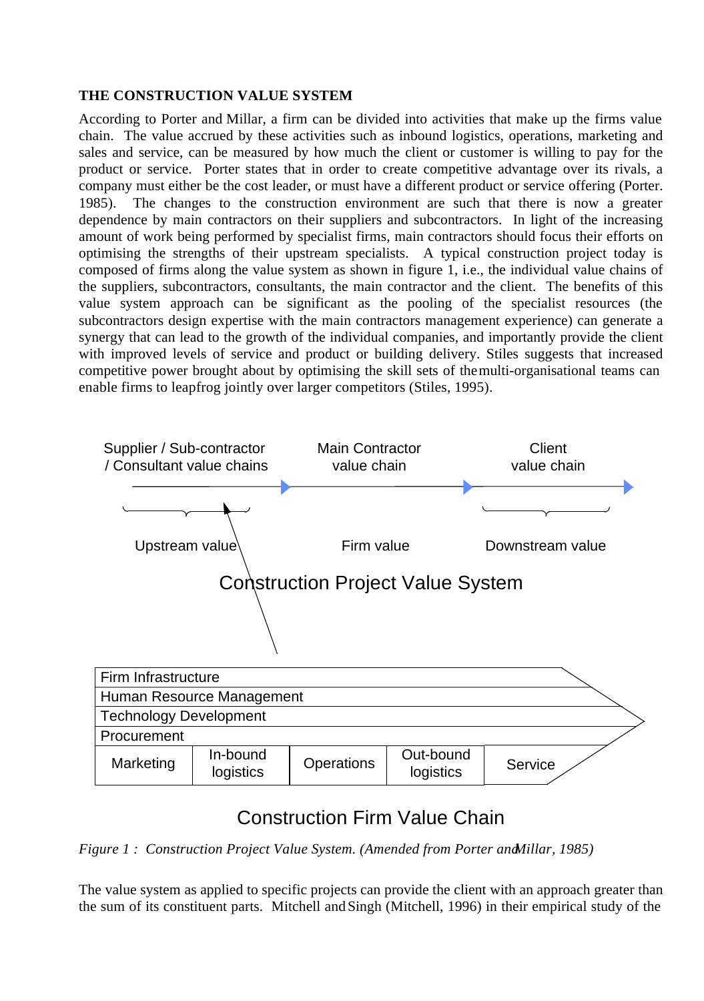# **THE CONSTRUCTION VALUE SYSTEM**

According to Porter and Millar, a firm can be divided into activities that make up the firms value chain. The value accrued by these activities such as inbound logistics, operations, marketing and sales and service, can be measured by how much the client or customer is willing to pay for the product or service. Porter states that in order to create competitive advantage over its rivals, a company must either be the cost leader, or must have a different product or service offering (Porter. 1985). The changes to the construction environment are such that there is now a greater dependence by main contractors on their suppliers and subcontractors. In light of the increasing amount of work being performed by specialist firms, main contractors should focus their efforts on optimising the strengths of their upstream specialists. A typical construction project today is composed of firms along the value system as shown in figure 1, i.e., the individual value chains of the suppliers, subcontractors, consultants, the main contractor and the client. The benefits of this value system approach can be significant as the pooling of the specialist resources (the subcontractors design expertise with the main contractors management experience) can generate a synergy that can lead to the growth of the individual companies, and importantly provide the client with improved levels of service and product or building delivery. Stiles suggests that increased competitive power brought about by optimising the skill sets of the multi-organisational teams can enable firms to leapfrog jointly over larger competitors (Stiles, 1995).



# Construction Firm Value Chain

*Figure 1 : Construction Project Value System. (Amended from Porter and Millar, 1985)*

The value system as applied to specific projects can provide the client with an approach greater than the sum of its constituent parts. Mitchell and Singh (Mitchell, 1996) in their empirical study of the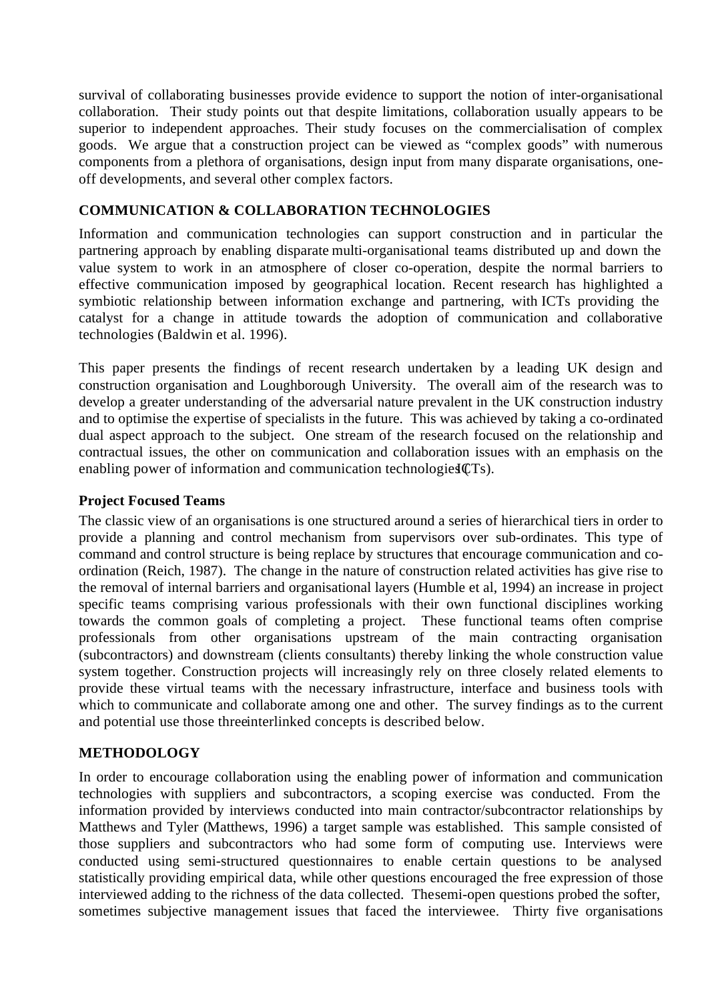survival of collaborating businesses provide evidence to support the notion of inter-organisational collaboration. Their study points out that despite limitations, collaboration usually appears to be superior to independent approaches. Their study focuses on the commercialisation of complex goods. We argue that a construction project can be viewed as "complex goods" with numerous components from a plethora of organisations, design input from many disparate organisations, oneoff developments, and several other complex factors.

# **COMMUNICATION & COLLABORATION TECHNOLOGIES**

Information and communication technologies can support construction and in particular the partnering approach by enabling disparate multi-organisational teams distributed up and down the value system to work in an atmosphere of closer co-operation, despite the normal barriers to effective communication imposed by geographical location. Recent research has highlighted a symbiotic relationship between information exchange and partnering, with ICTs providing the catalyst for a change in attitude towards the adoption of communication and collaborative technologies (Baldwin et al. 1996).

This paper presents the findings of recent research undertaken by a leading UK design and construction organisation and Loughborough University. The overall aim of the research was to develop a greater understanding of the adversarial nature prevalent in the UK construction industry and to optimise the expertise of specialists in the future. This was achieved by taking a co-ordinated dual aspect approach to the subject. One stream of the research focused on the relationship and contractual issues, the other on communication and collaboration issues with an emphasis on the enabling power of information and communication technologies  $CTS$ ).

#### **Project Focused Teams**

The classic view of an organisations is one structured around a series of hierarchical tiers in order to provide a planning and control mechanism from supervisors over sub-ordinates. This type of command and control structure is being replace by structures that encourage communication and coordination (Reich, 1987). The change in the nature of construction related activities has give rise to the removal of internal barriers and organisational layers (Humble et al, 1994) an increase in project specific teams comprising various professionals with their own functional disciplines working towards the common goals of completing a project. These functional teams often comprise professionals from other organisations upstream of the main contracting organisation (subcontractors) and downstream (clients consultants) thereby linking the whole construction value system together. Construction projects will increasingly rely on three closely related elements to provide these virtual teams with the necessary infrastructure, interface and business tools with which to communicate and collaborate among one and other. The survey findings as to the current and potential use those three interlinked concepts is described below.

#### **METHODOLOGY**

In order to encourage collaboration using the enabling power of information and communication technologies with suppliers and subcontractors, a scoping exercise was conducted. From the information provided by interviews conducted into main contractor/subcontractor relationships by Matthews and Tyler (Matthews, 1996) a target sample was established. This sample consisted of those suppliers and subcontractors who had some form of computing use. Interviews were conducted using semi-structured questionnaires to enable certain questions to be analysed statistically providing empirical data, while other questions encouraged the free expression of those interviewed adding to the richness of the data collected. The semi-open questions probed the softer, sometimes subjective management issues that faced the interviewee. Thirty five organisations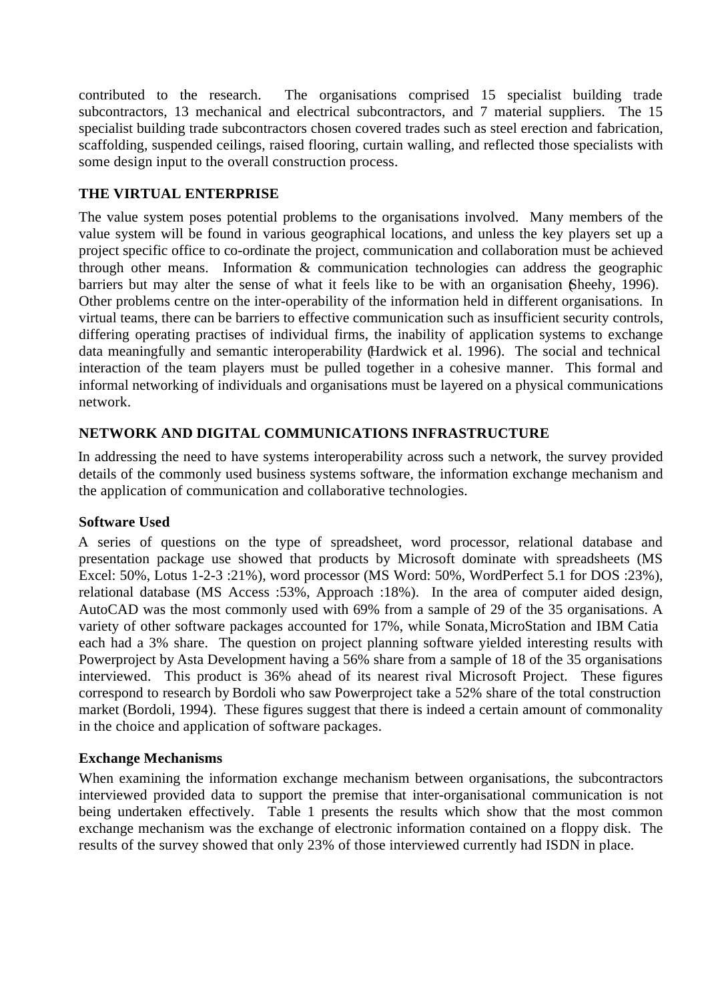contributed to the research. The organisations comprised 15 specialist building trade subcontractors, 13 mechanical and electrical subcontractors, and 7 material suppliers. The 15 specialist building trade subcontractors chosen covered trades such as steel erection and fabrication, scaffolding, suspended ceilings, raised flooring, curtain walling, and reflected those specialists with some design input to the overall construction process.

## **THE VIRTUAL ENTERPRISE**

The value system poses potential problems to the organisations involved. Many members of the value system will be found in various geographical locations, and unless the key players set up a project specific office to co-ordinate the project, communication and collaboration must be achieved through other means. Information & communication technologies can address the geographic barriers but may alter the sense of what it feels like to be with an organisation (Sheehy, 1996). Other problems centre on the inter-operability of the information held in different organisations. In virtual teams, there can be barriers to effective communication such as insufficient security controls, differing operating practises of individual firms, the inability of application systems to exchange data meaningfully and semantic interoperability (Hardwick et al. 1996). The social and technical interaction of the team players must be pulled together in a cohesive manner. This formal and informal networking of individuals and organisations must be layered on a physical communications network.

# **NETWORK AND DIGITAL COMMUNICATIONS INFRASTRUCTURE**

In addressing the need to have systems interoperability across such a network, the survey provided details of the commonly used business systems software, the information exchange mechanism and the application of communication and collaborative technologies.

#### **Software Used**

A series of questions on the type of spreadsheet, word processor, relational database and presentation package use showed that products by Microsoft dominate with spreadsheets (MS Excel: 50%, Lotus 1-2-3 :21%), word processor (MS Word: 50%, WordPerfect 5.1 for DOS :23%), relational database (MS Access :53%, Approach :18%). In the area of computer aided design, AutoCAD was the most commonly used with 69% from a sample of 29 of the 35 organisations. A variety of other software packages accounted for 17%, while Sonata, MicroStation and IBM Catia each had a 3% share. The question on project planning software yielded interesting results with Powerproject by Asta Development having a 56% share from a sample of 18 of the 35 organisations interviewed. This product is 36% ahead of its nearest rival Microsoft Project. These figures correspond to research by Bordoli who saw Powerproject take a 52% share of the total construction market (Bordoli, 1994). These figures suggest that there is indeed a certain amount of commonality in the choice and application of software packages.

#### **Exchange Mechanisms**

When examining the information exchange mechanism between organisations, the subcontractors interviewed provided data to support the premise that inter-organisational communication is not being undertaken effectively. Table 1 presents the results which show that the most common exchange mechanism was the exchange of electronic information contained on a floppy disk. The results of the survey showed that only 23% of those interviewed currently had ISDN in place.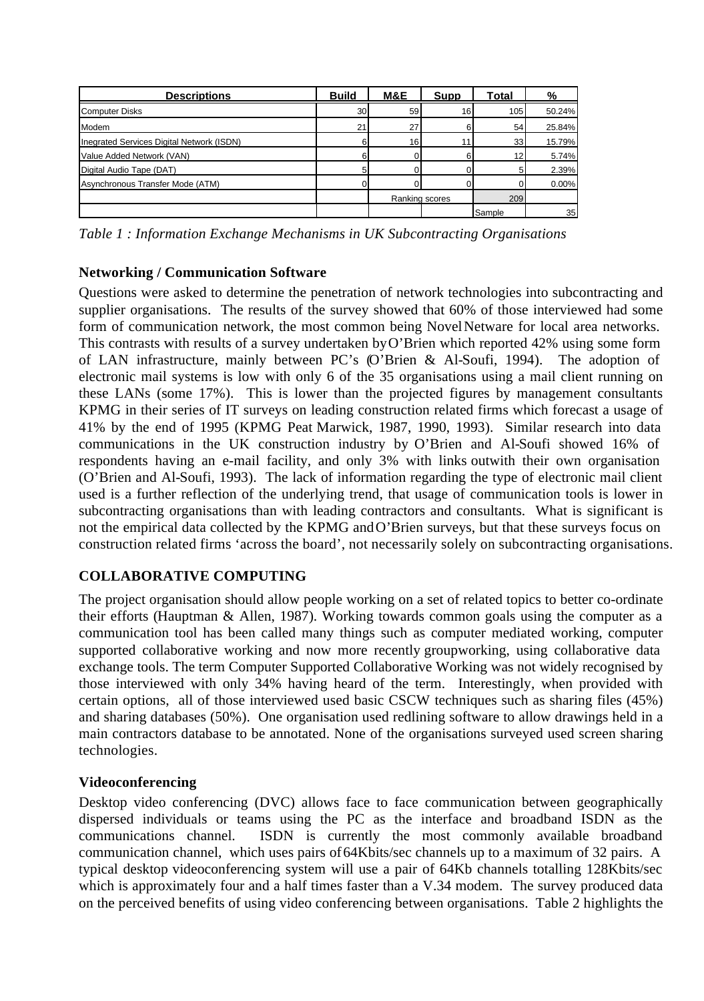| <b>Descriptions</b>                       | <b>Build</b> | M&E            | Supp | Total  |        |
|-------------------------------------------|--------------|----------------|------|--------|--------|
| <b>Computer Disks</b>                     | 30           | 59             | 16   | 105    | 50.24% |
| Modem                                     | 21           | 27             |      | 54     | 25.84% |
| Inegrated Services Digital Network (ISDN) |              | 16             |      | 33     | 15.79% |
| Value Added Network (VAN)                 |              |                |      | 12     | 5.74%  |
| Digital Audio Tape (DAT)                  |              |                |      |        | 2.39%  |
| Asynchronous Transfer Mode (ATM)          |              |                |      |        | 0.00%  |
|                                           |              | Ranking scores |      | 209    |        |
|                                           |              |                |      | Sample | 35     |

*Table 1 : Information Exchange Mechanisms in UK Subcontracting Organisations*

# **Networking / Communication Software**

Questions were asked to determine the penetration of network technologies into subcontracting and supplier organisations. The results of the survey showed that 60% of those interviewed had some form of communication network, the most common being Novel Netware for local area networks. This contrasts with results of a survey undertaken by O'Brien which reported 42% using some form of LAN infrastructure, mainly between PC's (O'Brien & Al-Soufi, 1994). The adoption of electronic mail systems is low with only 6 of the 35 organisations using a mail client running on these LANs (some 17%). This is lower than the projected figures by management consultants KPMG in their series of IT surveys on leading construction related firms which forecast a usage of 41% by the end of 1995 (KPMG Peat Marwick, 1987, 1990, 1993). Similar research into data communications in the UK construction industry by O'Brien and Al-Soufi showed 16% of respondents having an e-mail facility, and only 3% with links outwith their own organisation (O'Brien and Al-Soufi, 1993). The lack of information regarding the type of electronic mail client used is a further reflection of the underlying trend, that usage of communication tools is lower in subcontracting organisations than with leading contractors and consultants. What is significant is not the empirical data collected by the KPMG and O'Brien surveys, but that these surveys focus on construction related firms 'across the board', not necessarily solely on subcontracting organisations.

# **COLLABORATIVE COMPUTING**

The project organisation should allow people working on a set of related topics to better co-ordinate their efforts (Hauptman & Allen, 1987). Working towards common goals using the computer as a communication tool has been called many things such as computer mediated working, computer supported collaborative working and now more recently groupworking, using collaborative data exchange tools. The term Computer Supported Collaborative Working was not widely recognised by those interviewed with only 34% having heard of the term. Interestingly, when provided with certain options, all of those interviewed used basic CSCW techniques such as sharing files (45%) and sharing databases (50%). One organisation used redlining software to allow drawings held in a main contractors database to be annotated. None of the organisations surveyed used screen sharing technologies.

#### **Videoconferencing**

Desktop video conferencing (DVC) allows face to face communication between geographically dispersed individuals or teams using the PC as the interface and broadband ISDN as the communications channel. ISDN is currently the most commonly available broadband communication channel, which uses pairs of64Kbits/sec channels up to a maximum of 32 pairs. A typical desktop videoconferencing system will use a pair of 64Kb channels totalling 128Kbits/sec which is approximately four and a half times faster than a V.34 modem. The survey produced data on the perceived benefits of using video conferencing between organisations. Table 2 highlights the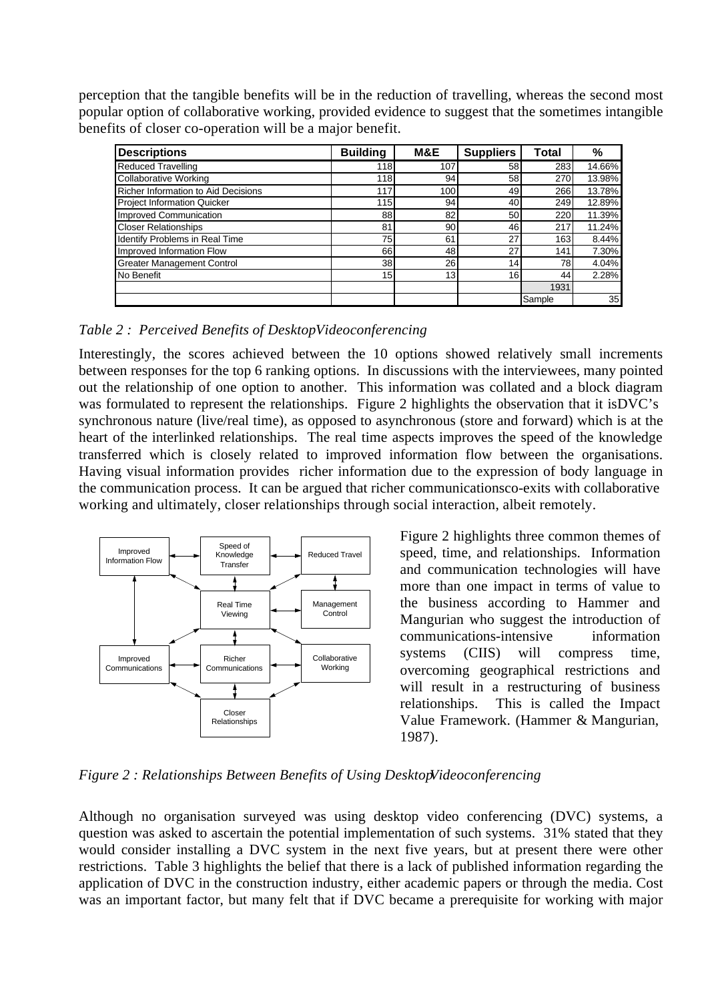perception that the tangible benefits will be in the reduction of travelling, whereas the second most popular option of collaborative working, provided evidence to suggest that the sometimes intangible benefits of closer co-operation will be a major benefit.

| <b>Descriptions</b>                 | <b>Building</b> | M&E | <b>Suppliers</b> | Total            | %      |
|-------------------------------------|-----------------|-----|------------------|------------------|--------|
| <b>Reduced Travelling</b>           | 118             | 107 | 58               | 283              | 14.66% |
| <b>Collaborative Working</b>        | 118             | 94  | 58               | 270              | 13.98% |
| Richer Information to Aid Decisions | 117             | 100 | 49               | 266              | 13.78% |
| <b>Project Information Quicker</b>  | 115             | 94  | 40               | 249              | 12.89% |
| Improved Communication              | 88              | 82  | 50               | 220              | 11.39% |
| <b>Closer Relationships</b>         | 81              | 90  | 46               | 217              | 11.24% |
| Identify Problems in Real Time      | 75              | 61  | 27               | 163 <sub>1</sub> | 8.44%  |
| Improved Information Flow           | 66              | 48  | 27               | 141              | 7.30%  |
| <b>Greater Management Control</b>   | 38              | 26  | 14               | 78               | 4.04%  |
| No Benefit                          | 15 <sub>1</sub> | 13  | 16               | 44               | 2.28%  |
|                                     |                 |     |                  | 1931             |        |
|                                     |                 |     |                  | Sample           | 35     |

*Table 2 : Perceived Benefits of Desktop Videoconferencing*

Interestingly, the scores achieved between the 10 options showed relatively small increments between responses for the top 6 ranking options. In discussions with the interviewees, many pointed out the relationship of one option to another. This information was collated and a block diagram was formulated to represent the relationships. Figure 2 highlights the observation that it is DVC's synchronous nature (live/real time), as opposed to asynchronous (store and forward) which is at the heart of the interlinked relationships. The real time aspects improves the speed of the knowledge transferred which is closely related to improved information flow between the organisations. Having visual information provides richer information due to the expression of body language in the communication process. It can be argued that richer communications co-exits with collaborative working and ultimately, closer relationships through social interaction, albeit remotely.



Figure 2 highlights three common themes of speed, time, and relationships. Information and communication technologies will have more than one impact in terms of value to the business according to Hammer and Mangurian who suggest the introduction of communications-intensive information systems (CIIS) will compress time, overcoming geographical restrictions and will result in a restructuring of business relationships. This is called the Impact Value Framework. (Hammer & Mangurian, 1987).

*Figure 2 : Relationships Between Benefits of Using DesktopVideoconferencing* 

Although no organisation surveyed was using desktop video conferencing (DVC) systems, a question was asked to ascertain the potential implementation of such systems. 31% stated that they would consider installing a DVC system in the next five years, but at present there were other restrictions. Table 3 highlights the belief that there is a lack of published information regarding the application of DVC in the construction industry, either academic papers or through the media. Cost was an important factor, but many felt that if DVC became a prerequisite for working with major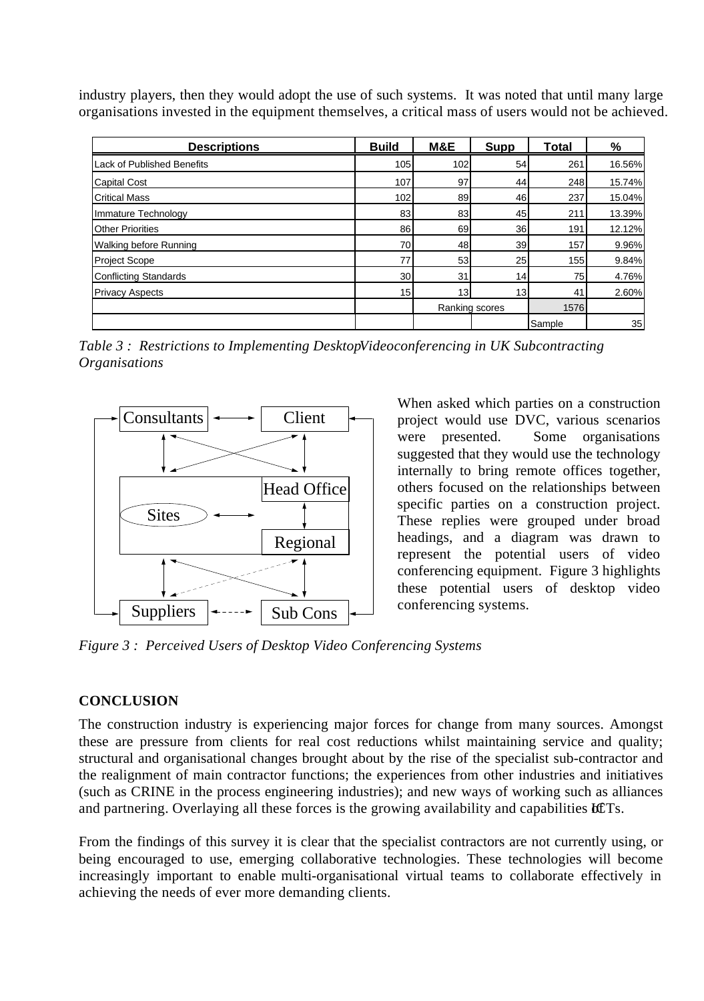industry players, then they would adopt the use of such systems. It was noted that until many large organisations invested in the equipment themselves, a critical mass of users would not be achieved.

| <b>Descriptions</b>          | <b>Build</b>    | M&E | Supp           | <b>Total</b> | %      |
|------------------------------|-----------------|-----|----------------|--------------|--------|
| Lack of Published Benefits   | 105             | 102 | 54             | 261          | 16.56% |
| <b>Capital Cost</b>          | 107             | 97  | 44             | 248          | 15.74% |
| <b>Critical Mass</b>         | 102             | 89  | 46             | 237          | 15.04% |
| Immature Technology          | 83              | 83  | 45             | 211          | 13.39% |
| <b>Other Priorities</b>      | 86              | 69  | 36             | 191          | 12.12% |
| Walking before Running       | 70              | 48  | 39             | 157          | 9.96%  |
| <b>Project Scope</b>         | 77              | 53  | 25             | 155          | 9.84%  |
| <b>Conflicting Standards</b> | 30              | 31  | 14             | 75           | 4.76%  |
| <b>Privacy Aspects</b>       | 15 <sub>l</sub> | 13  | 13             | 41           | 2.60%  |
|                              |                 |     | Ranking scores |              | 1576   |
|                              |                 |     |                | Sample       | 35     |

*Table 3: Restrictions to Implementing DesktopVideoconferencing in UK Subcontracting Organisations*



When asked which parties on a construction project would use DVC, various scenarios were presented. Some organisations suggested that they would use the technology internally to bring remote offices together, others focused on the relationships between specific parties on a construction project. These replies were grouped under broad headings, and a diagram was drawn to represent the potential users of video conferencing equipment. Figure 3 highlights these potential users of desktop video conferencing systems.

*Figure 3 : Perceived Users of Desktop Video Conferencing Systems*

#### **CONCLUSION**

The construction industry is experiencing major forces for change from many sources. Amongst these are pressure from clients for real cost reductions whilst maintaining service and quality; structural and organisational changes brought about by the rise of the specialist sub-contractor and the realignment of main contractor functions; the experiences from other industries and initiatives (such as CRINE in the process engineering industries); and new ways of working such as alliances and partnering. Overlaying all these forces is the growing availability and capabilities ICTs.

From the findings of this survey it is clear that the specialist contractors are not currently using, or being encouraged to use, emerging collaborative technologies. These technologies will become increasingly important to enable multi-organisational virtual teams to collaborate effectively in achieving the needs of ever more demanding clients.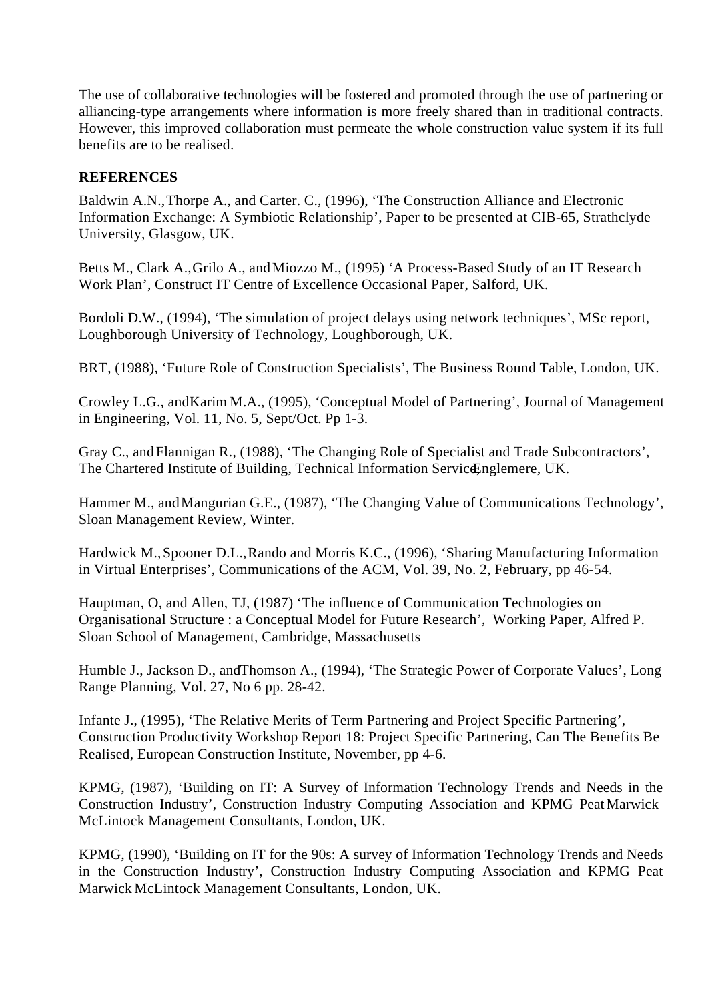The use of collaborative technologies will be fostered and promoted through the use of partnering or alliancing-type arrangements where information is more freely shared than in traditional contracts. However, this improved collaboration must permeate the whole construction value system if its full benefits are to be realised.

## **REFERENCES**

Baldwin A.N., Thorpe A., and Carter. C., (1996), 'The Construction Alliance and Electronic Information Exchange: A Symbiotic Relationship', Paper to be presented at CIB-65, Strathclyde University, Glasgow, UK.

Betts M., Clark A., Grilo A., and Miozzo M., (1995) 'A Process-Based Study of an IT Research Work Plan', Construct IT Centre of Excellence Occasional Paper, Salford, UK.

Bordoli D.W., (1994), 'The simulation of project delays using network techniques', MSc report, Loughborough University of Technology, Loughborough, UK.

BRT, (1988), 'Future Role of Construction Specialists', The Business Round Table, London, UK.

Crowley L.G., and Karim M.A., (1995), 'Conceptual Model of Partnering', Journal of Management in Engineering, Vol. 11, No. 5, Sept/Oct. Pp 1-3.

Gray C., and Flannigan R., (1988), 'The Changing Role of Specialist and Trade Subcontractors', The Chartered Institute of Building, Technical Information ServiceEnglemere, UK.

Hammer M., and Mangurian G.E., (1987), 'The Changing Value of Communications Technology', Sloan Management Review, Winter.

Hardwick M., Spooner D.L., Rando and Morris K.C., (1996), 'Sharing Manufacturing Information in Virtual Enterprises', Communications of the ACM, Vol. 39, No. 2, February, pp 46-54.

Hauptman, O, and Allen, TJ, (1987) 'The influence of Communication Technologies on Organisational Structure : a Conceptual Model for Future Research', Working Paper, Alfred P. Sloan School of Management, Cambridge, Massachusetts

Humble J., Jackson D., and Thomson A., (1994), 'The Strategic Power of Corporate Values', Long Range Planning, Vol. 27, No 6 pp. 28-42.

Infante J., (1995), 'The Relative Merits of Term Partnering and Project Specific Partnering', Construction Productivity Workshop Report 18: Project Specific Partnering, Can The Benefits Be Realised, European Construction Institute, November, pp 4-6.

KPMG, (1987), 'Building on IT: A Survey of Information Technology Trends and Needs in the Construction Industry', Construction Industry Computing Association and KPMG Peat Marwick McLintock Management Consultants, London, UK.

KPMG, (1990), 'Building on IT for the 90s: A survey of Information Technology Trends and Needs in the Construction Industry', Construction Industry Computing Association and KPMG Peat Marwick McLintock Management Consultants, London, UK.